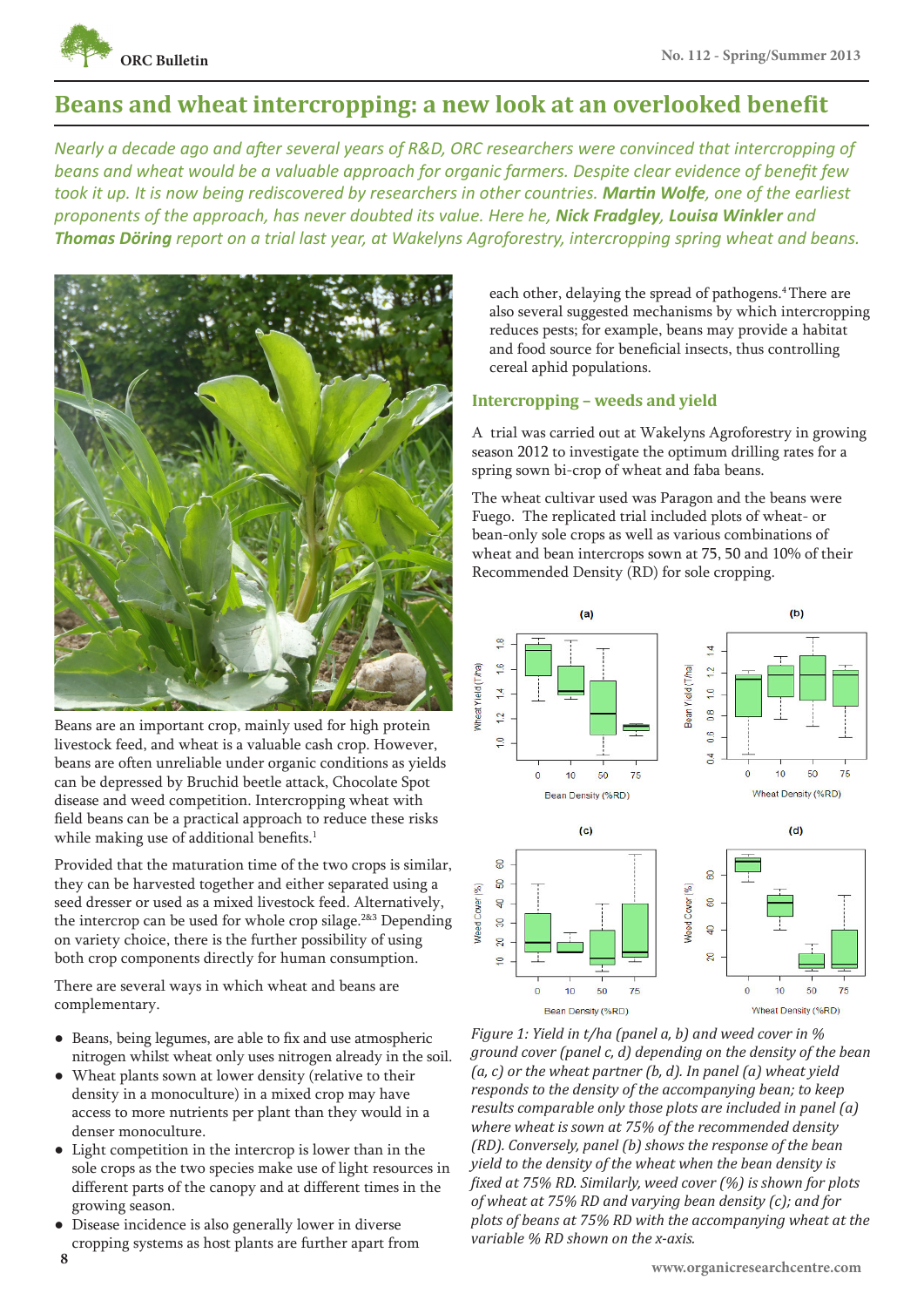

# **Beans and wheat intercropping: a new look at an overlooked benefit**

*Nearly a decade ago and after several years of R&D, ORC researchers were convinced that intercropping of beans and wheat would be a valuable approach for organic farmers. Despite clear evidence of benefit few took it up. It is now being rediscovered by researchers in other countries. Martin Wolfe, one of the earliest proponents of the approach, has never doubted its value. Here he, Nick Fradgley, Louisa Winkler and Thomas Döring report on a trial last year, at Wakelyns Agroforestry, intercropping spring wheat and beans.*



Beans are an important crop, mainly used for high protein livestock feed, and wheat is a valuable cash crop. However, beans are often unreliable under organic conditions as yields can be depressed by Bruchid beetle attack, Chocolate Spot disease and weed competition. Intercropping wheat with field beans can be a practical approach to reduce these risks while making use of additional benefits.<sup>1</sup>

Provided that the maturation time of the two crops is similar, they can be harvested together and either separated using a seed dresser or used as a mixed livestock feed. Alternatively, the intercrop can be used for whole crop silage.<sup>2&3</sup> Depending on variety choice, there is the further possibility of using both crop components directly for human consumption.

There are several ways in which wheat and beans are complementary.

- Beans, being legumes, are able to fix and use atmospheric nitrogen whilst wheat only uses nitrogen already in the soil.
- Wheat plants sown at lower density (relative to their density in a monoculture) in a mixed crop may have access to more nutrients per plant than they would in a denser monoculture.
- Light competition in the intercrop is lower than in the sole crops as the two species make use of light resources in different parts of the canopy and at different times in the growing season.
- Disease incidence is also generally lower in diverse cropping systems as host plants are further apart from

each other, delaying the spread of pathogens.<sup>4</sup> There are also several suggested mechanisms by which intercropping reduces pests; for example, beans may provide a habitat and food source for beneficial insects, thus controlling cereal aphid populations.

# **Intercropping – weeds and yield**

A trial was carried out at Wakelyns Agroforestry in growing season 2012 to investigate the optimum drilling rates for a spring sown bi-crop of wheat and faba beans.

The wheat cultivar used was Paragon and the beans were Fuego. The replicated trial included plots of wheat- or bean-only sole crops as well as various combinations of wheat and bean intercrops sown at 75, 50 and 10% of their Recommended Density (RD) for sole cropping.



*Figure 1: Yield in t/ha (panel a, b) and weed cover in % ground cover (panel c, d) depending on the density of the bean (a, c) or the wheat partner (b, d). In panel (a) wheat yield responds to the density of the accompanying bean; to keep results comparable only those plots are included in panel (a) where wheat is sown at 75% of the recommended density (RD). Conversely, panel (b) shows the response of the bean yield to the density of the wheat when the bean density is fixed at 75% RD. Similarly, weed cover (%) is shown for plots of wheat at 75% RD and varying bean density (c); and for plots of beans at 75% RD with the accompanying wheat at the variable % RD shown on the x-axis.*